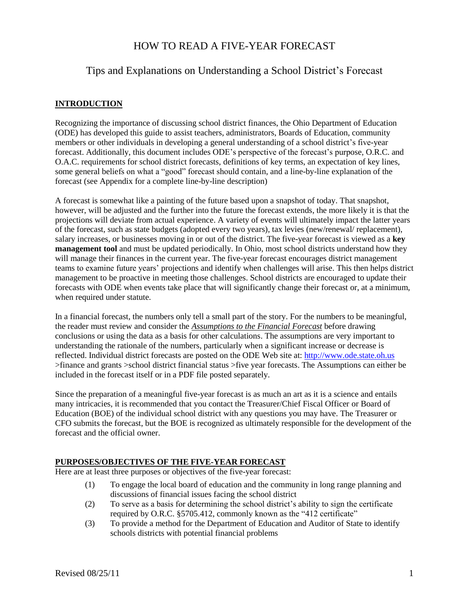# HOW TO READ A FIVE-YEAR FORECAST

# Tips and Explanations on Understanding a School District's Forecast

# **INTRODUCTION**

Recognizing the importance of discussing school district finances, the Ohio Department of Education (ODE) has developed this guide to assist teachers, administrators, Boards of Education, community members or other individuals in developing a general understanding of a school district's five-year forecast. Additionally, this document includes ODE's perspective of the forecast's purpose, O.R.C. and O.A.C. requirements for school district forecasts, definitions of key terms, an expectation of key lines, some general beliefs on what a "good" forecast should contain, and a line-by-line explanation of the forecast (see Appendix for a complete line-by-line description)

A forecast is somewhat like a painting of the future based upon a snapshot of today. That snapshot, however, will be adjusted and the further into the future the forecast extends, the more likely it is that the projections will deviate from actual experience. A variety of events will ultimately impact the latter years of the forecast, such as state budgets (adopted every two years), tax levies (new/renewal/ replacement), salary increases, or businesses moving in or out of the district. The five-year forecast is viewed as a **key management tool** and must be updated periodically. In Ohio, most school districts understand how they will manage their finances in the current year. The five-year forecast encourages district management teams to examine future years' projections and identify when challenges will arise. This then helps district management to be proactive in meeting those challenges. School districts are encouraged to update their forecasts with ODE when events take place that will significantly change their forecast or, at a minimum, when required under statute.

In a financial forecast, the numbers only tell a small part of the story. For the numbers to be meaningful, the reader must review and consider the *Assumptions to the Financial Forecast* before drawing conclusions or using the data as a basis for other calculations. The assumptions are very important to understanding the rationale of the numbers, particularly when a significant increase or decrease is reflected. Individual district forecasts are posted on the ODE Web site at: [http://www.ode.state.oh.us](http://www.ode.state.oh.us/) >finance and grants >school district financial status >five year forecasts. The Assumptions can either be included in the forecast itself or in a PDF file posted separately.

Since the preparation of a meaningful five-year forecast is as much an art as it is a science and entails many intricacies, it is recommended that you contact the Treasurer/Chief Fiscal Officer or Board of Education (BOE) of the individual school district with any questions you may have. The Treasurer or CFO submits the forecast, but the BOE is recognized as ultimately responsible for the development of the forecast and the official owner.

### **PURPOSES/OBJECTIVES OF THE FIVE-YEAR FORECAST**

Here are at least three purposes or objectives of the five-year forecast:

- (1) To engage the local board of education and the community in long range planning and discussions of financial issues facing the school district
- (2) To serve as a basis for determining the school district's ability to sign the certificate required by O.R.C. §5705.412, commonly known as the "412 certificate"
- (3) To provide a method for the Department of Education and Auditor of State to identify schools districts with potential financial problems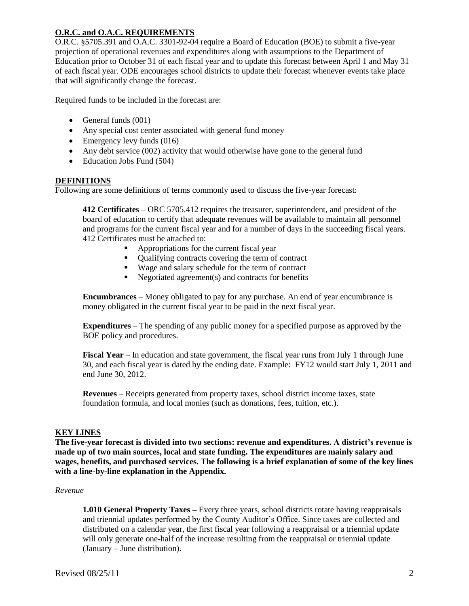## **O.R.C. and O.A.C. REQUIREMENTS**

O.R.C. §5705.391 and O.A.C. 3301-92-04 require a Board of Education (BOE) to submit a five-year projection of operational revenues and expenditures along with assumptions to the Department of Education prior to October 31 of each fiscal year and to update this forecast between April 1 and May 31 of each fiscal year. ODE encourages school districts to update their forecast whenever events take place that will significantly change the forecast.

Required funds to be included in the forecast are:

- $\bullet$  General funds (001)
- Any special cost center associated with general fund money
- $\bullet$  Emergency levy funds (016)
- Any debt service (002) activity that would otherwise have gone to the general fund
- Education Jobs Fund (504)

### **DEFINITIONS**

Following are some definitions of terms commonly used to discuss the five-year forecast:

**412 Certificates** – ORC 5705.412 requires the treasurer, superintendent, and president of the board of education to certify that adequate revenues will be available to maintain all personnel and programs for the current fiscal year and for a number of days in the succeeding fiscal years. 412 Certificates must be attached to:

- Appropriations for the current fiscal year
- Oualifying contracts covering the term of contract
- Wage and salary schedule for the term of contract
- $\blacksquare$  Negotiated agreement(s) and contracts for benefits

**Encumbrances** – Money obligated to pay for any purchase. An end of year encumbrance is money obligated in the current fiscal year to be paid in the next fiscal year.

**Expenditures** – The spending of any public money for a specified purpose as approved by the BOE policy and procedures.

**Fiscal Year** – In education and state government, the fiscal year runs from July 1 through June 30, and each fiscal year is dated by the ending date. Example: FY12 would start July 1, 2011 and end June 30, 2012.

**Revenues** – Receipts generated from property taxes, school district income taxes, state foundation formula, and local monies (such as donations, fees, tuition, etc.).

### **KEY LINES**

**The five-year forecast is divided into two sections: revenue and expenditures. A district's revenue is made up of two main sources, local and state funding. The expenditures are mainly salary and wages, benefits, and purchased services. The following is a brief explanation of some of the key lines with a line-by-line explanation in the Appendix.**

#### *Revenue*

**1.010 General Property Taxes –** Every three years, school districts rotate having reappraisals and triennial updates performed by the County Auditor's Office. Since taxes are collected and distributed on a calendar year, the first fiscal year following a reappraisal or a triennial update will only generate one-half of the increase resulting from the reappraisal or triennial update (January – June distribution).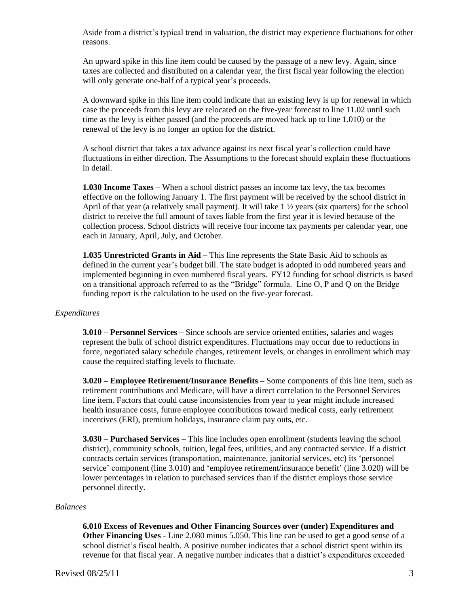Aside from a district's typical trend in valuation, the district may experience fluctuations for other reasons.

An upward spike in this line item could be caused by the passage of a new levy. Again, since taxes are collected and distributed on a calendar year, the first fiscal year following the election will only generate one-half of a typical year's proceeds.

A downward spike in this line item could indicate that an existing levy is up for renewal in which case the proceeds from this levy are relocated on the five-year forecast to line 11.02 until such time as the levy is either passed (and the proceeds are moved back up to line 1.010) or the renewal of the levy is no longer an option for the district.

A school district that takes a tax advance against its next fiscal year's collection could have fluctuations in either direction. The Assumptions to the forecast should explain these fluctuations in detail.

**1.030 Income Taxes –** When a school district passes an income tax levy, the tax becomes effective on the following January 1. The first payment will be received by the school district in April of that year (a relatively small payment). It will take  $1 \frac{1}{2}$  years (six quarters) for the school district to receive the full amount of taxes liable from the first year it is levied because of the collection process. School districts will receive four income tax payments per calendar year, one each in January, April, July, and October.

**1.035 Unrestricted Grants in Aid –** This line represents the State Basic Aid to schools as defined in the current year's budget bill. The state budget is adopted in odd numbered years and implemented beginning in even numbered fiscal years. FY12 funding for school districts is based on a transitional approach referred to as the "Bridge" formula. Line O, P and Q on the Bridge funding report is the calculation to be used on the five-year forecast.

#### *Expenditures*

**3.010 – Personnel Services –** Since schools are service oriented entities**,** salaries and wages represent the bulk of school district expenditures. Fluctuations may occur due to reductions in force, negotiated salary schedule changes, retirement levels, or changes in enrollment which may cause the required staffing levels to fluctuate.

**3.020 – Employee Retirement/Insurance Benefits –** Some components of this line item, such as retirement contributions and Medicare, will have a direct correlation to the Personnel Services line item. Factors that could cause inconsistencies from year to year might include increased health insurance costs, future employee contributions toward medical costs, early retirement incentives (ERI), premium holidays, insurance claim pay outs, etc.

**3.030 – Purchased Services –** This line includes open enrollment (students leaving the school district), community schools, tuition, legal fees, utilities, and any contracted service. If a district contracts certain services (transportation, maintenance, janitorial services, etc) its 'personnel service' component (line 3.010) and 'employee retirement/insurance benefit' (line 3.020) will be lower percentages in relation to purchased services than if the district employs those service personnel directly.

#### *Balances*

**6.010 Excess of Revenues and Other Financing Sources over (under) Expenditures and Other Financing Uses -** Line 2.080 minus 5.050. This line can be used to get a good sense of a school district's fiscal health. A positive number indicates that a school district spent within its revenue for that fiscal year. A negative number indicates that a district's expenditures exceeded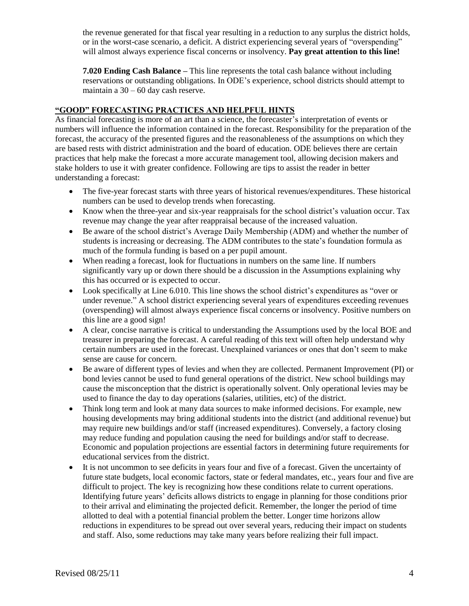the revenue generated for that fiscal year resulting in a reduction to any surplus the district holds, or in the worst-case scenario, a deficit. A district experiencing several years of "overspending" will almost always experience fiscal concerns or insolvency. **Pay great attention to this line!**

**7.020 Ending Cash Balance –** This line represents the total cash balance without including reservations or outstanding obligations. In ODE's experience, school districts should attempt to maintain a 30 – 60 day cash reserve.

# **"GOOD" FORECASTING PRACTICES AND HELPFUL HINTS**

As financial forecasting is more of an art than a science, the forecaster's interpretation of events or numbers will influence the information contained in the forecast. Responsibility for the preparation of the forecast, the accuracy of the presented figures and the reasonableness of the assumptions on which they are based rests with district administration and the board of education. ODE believes there are certain practices that help make the forecast a more accurate management tool, allowing decision makers and stake holders to use it with greater confidence. Following are tips to assist the reader in better understanding a forecast:

- The five-year forecast starts with three years of historical revenues/expenditures. These historical numbers can be used to develop trends when forecasting.
- Know when the three-year and six-year reappraisals for the school district's valuation occur. Tax revenue may change the year after reappraisal because of the increased valuation.
- Be aware of the school district's Average Daily Membership (ADM) and whether the number of students is increasing or decreasing. The ADM contributes to the state's foundation formula as much of the formula funding is based on a per pupil amount.
- When reading a forecast, look for fluctuations in numbers on the same line. If numbers significantly vary up or down there should be a discussion in the Assumptions explaining why this has occurred or is expected to occur.
- Look specifically at Line 6.010. This line shows the school district's expenditures as "over or under revenue." A school district experiencing several years of expenditures exceeding revenues (overspending) will almost always experience fiscal concerns or insolvency. Positive numbers on this line are a good sign!
- A clear, concise narrative is critical to understanding the Assumptions used by the local BOE and treasurer in preparing the forecast. A careful reading of this text will often help understand why certain numbers are used in the forecast. Unexplained variances or ones that don't seem to make sense are cause for concern.
- Be aware of different types of levies and when they are collected. Permanent Improvement (PI) or bond levies cannot be used to fund general operations of the district. New school buildings may cause the misconception that the district is operationally solvent. Only operational levies may be used to finance the day to day operations (salaries, utilities, etc) of the district.
- Think long term and look at many data sources to make informed decisions. For example, new housing developments may bring additional students into the district (and additional revenue) but may require new buildings and/or staff (increased expenditures). Conversely, a factory closing may reduce funding and population causing the need for buildings and/or staff to decrease. Economic and population projections are essential factors in determining future requirements for educational services from the district.
- It is not uncommon to see deficits in years four and five of a forecast. Given the uncertainty of future state budgets, local economic factors, state or federal mandates, etc., years four and five are difficult to project. The key is recognizing how these conditions relate to current operations. Identifying future years' deficits allows districts to engage in planning for those conditions prior to their arrival and eliminating the projected deficit. Remember, the longer the period of time allotted to deal with a potential financial problem the better. Longer time horizons allow reductions in expenditures to be spread out over several years, reducing their impact on students and staff. Also, some reductions may take many years before realizing their full impact.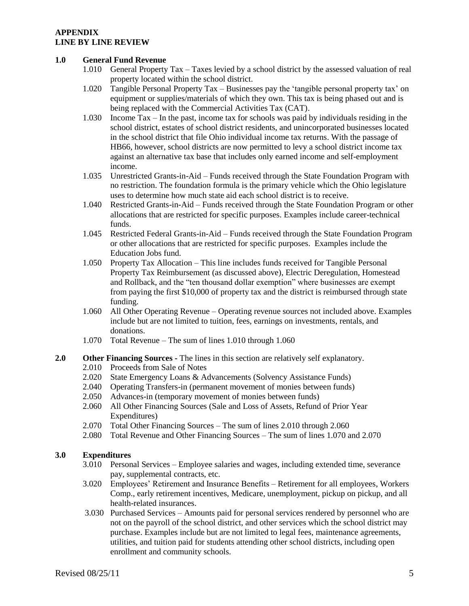#### **APPENDIX LINE BY LINE REVIEW**

#### **1.0 General Fund Revenue**

- 1.010 General Property Tax Taxes levied by a school district by the assessed valuation of real property located within the school district.
- 1.020 Tangible Personal Property Tax Businesses pay the 'tangible personal property tax' on equipment or supplies/materials of which they own. This tax is being phased out and is being replaced with the Commercial Activities Tax (CAT).
- 1.030 Income Tax In the past, income tax for schools was paid by individuals residing in the school district, estates of school district residents, and unincorporated businesses located in the school district that file Ohio individual income tax returns. With the passage of HB66, however, school districts are now permitted to levy a school district income tax against an alternative tax base that includes only earned income and self-employment income.
- 1.035 Unrestricted Grants-in-Aid Funds received through the State Foundation Program with no restriction. The foundation formula is the primary vehicle which the Ohio legislature uses to determine how much state aid each school district is to receive.
- 1.040 Restricted Grants-in-Aid Funds received through the State Foundation Program or other allocations that are restricted for specific purposes. Examples include career-technical funds.
- 1.045 Restricted Federal Grants-in-Aid Funds received through the State Foundation Program or other allocations that are restricted for specific purposes. Examples include the Education Jobs fund.
- 1.050 Property Tax Allocation This line includes funds received for Tangible Personal Property Tax Reimbursement (as discussed above), Electric Deregulation, Homestead and Rollback, and the "ten thousand dollar exemption" where businesses are exempt from paying the first \$10,000 of property tax and the district is reimbursed through state funding.
- 1.060 All Other Operating Revenue Operating revenue sources not included above. Examples include but are not limited to tuition, fees, earnings on investments, rentals, and donations.
- 1.070 Total Revenue The sum of lines 1.010 through 1.060
- **2.0 Other Financing Sources** The lines in this section are relatively self explanatory.
	- 2.010 Proceeds from Sale of Notes
	- 2.020 State Emergency Loans & Advancements (Solvency Assistance Funds)
	- 2.040 Operating Transfers-in (permanent movement of monies between funds)
	- 2.050 Advances-in (temporary movement of monies between funds)
	- 2.060 All Other Financing Sources (Sale and Loss of Assets, Refund of Prior Year Expenditures)
	- 2.070 Total Other Financing Sources The sum of lines 2.010 through 2.060
	- 2.080 Total Revenue and Other Financing Sources The sum of lines 1.070 and 2.070

### **3.0 Expenditures**

- 3.010 Personal Services Employee salaries and wages, including extended time, severance pay, supplemental contracts, etc.
- 3.020 Employees' Retirement and Insurance Benefits Retirement for all employees, Workers Comp., early retirement incentives, Medicare, unemployment, pickup on pickup, and all health-related insurances.
- 3.030 Purchased Services Amounts paid for personal services rendered by personnel who are not on the payroll of the school district, and other services which the school district may purchase. Examples include but are not limited to legal fees, maintenance agreements, utilities, and tuition paid for students attending other school districts, including open enrollment and community schools.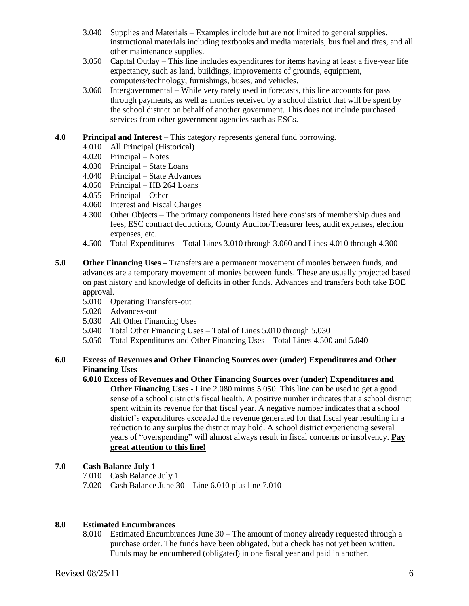- 3.040 Supplies and Materials Examples include but are not limited to general supplies, instructional materials including textbooks and media materials, bus fuel and tires, and all other maintenance supplies.
- 3.050 Capital Outlay This line includes expenditures for items having at least a five-year life expectancy, such as land, buildings, improvements of grounds, equipment, computers/technology, furnishings, buses, and vehicles.
- 3.060 Intergovernmental While very rarely used in forecasts, this line accounts for pass through payments, as well as monies received by a school district that will be spent by the school district on behalf of another government. This does not include purchased services from other government agencies such as ESCs.

## **4.0 Principal and Interest –** This category represents general fund borrowing.

- 4.010 All Principal (Historical)
- 4.020 Principal Notes
- 4.030 Principal State Loans
- 4.040 Principal State Advances
- 4.050 Principal HB 264 Loans
- 4.055 Principal Other
- 4.060 Interest and Fiscal Charges
- 4.300 Other Objects The primary components listed here consists of membership dues and fees, ESC contract deductions, County Auditor/Treasurer fees, audit expenses, election expenses, etc.
- 4.500 Total Expenditures Total Lines 3.010 through 3.060 and Lines 4.010 through 4.300
- **5.0 Other Financing Uses –** Transfers are a permanent movement of monies between funds, and advances are a temporary movement of monies between funds. These are usually projected based on past history and knowledge of deficits in other funds. Advances and transfers both take BOE approval.
	- 5.010 Operating Transfers-out
	- 5.020 Advances-out
	- 5.030 All Other Financing Uses
	- 5.040 Total Other Financing Uses Total of Lines 5.010 through 5.030
	- 5.050 Total Expenditures and Other Financing Uses Total Lines 4.500 and 5.040

# **6.0 Excess of Revenues and Other Financing Sources over (under) Expenditures and Other Financing Uses**

**6.010 Excess of Revenues and Other Financing Sources over (under) Expenditures and Other Financing Uses -** Line 2.080 minus 5.050. This line can be used to get a good sense of a school district's fiscal health. A positive number indicates that a school district spent within its revenue for that fiscal year. A negative number indicates that a school district's expenditures exceeded the revenue generated for that fiscal year resulting in a reduction to any surplus the district may hold. A school district experiencing several years of "overspending" will almost always result in fiscal concerns or insolvency. **Pay great attention to this line!**

# **7.0 Cash Balance July 1**

- 7.010 Cash Balance July 1
- 7.020 Cash Balance June 30 Line 6.010 plus line 7.010

### **8.0 Estimated Encumbrances**

8.010 Estimated Encumbrances June 30 – The amount of money already requested through a purchase order. The funds have been obligated, but a check has not yet been written. Funds may be encumbered (obligated) in one fiscal year and paid in another.